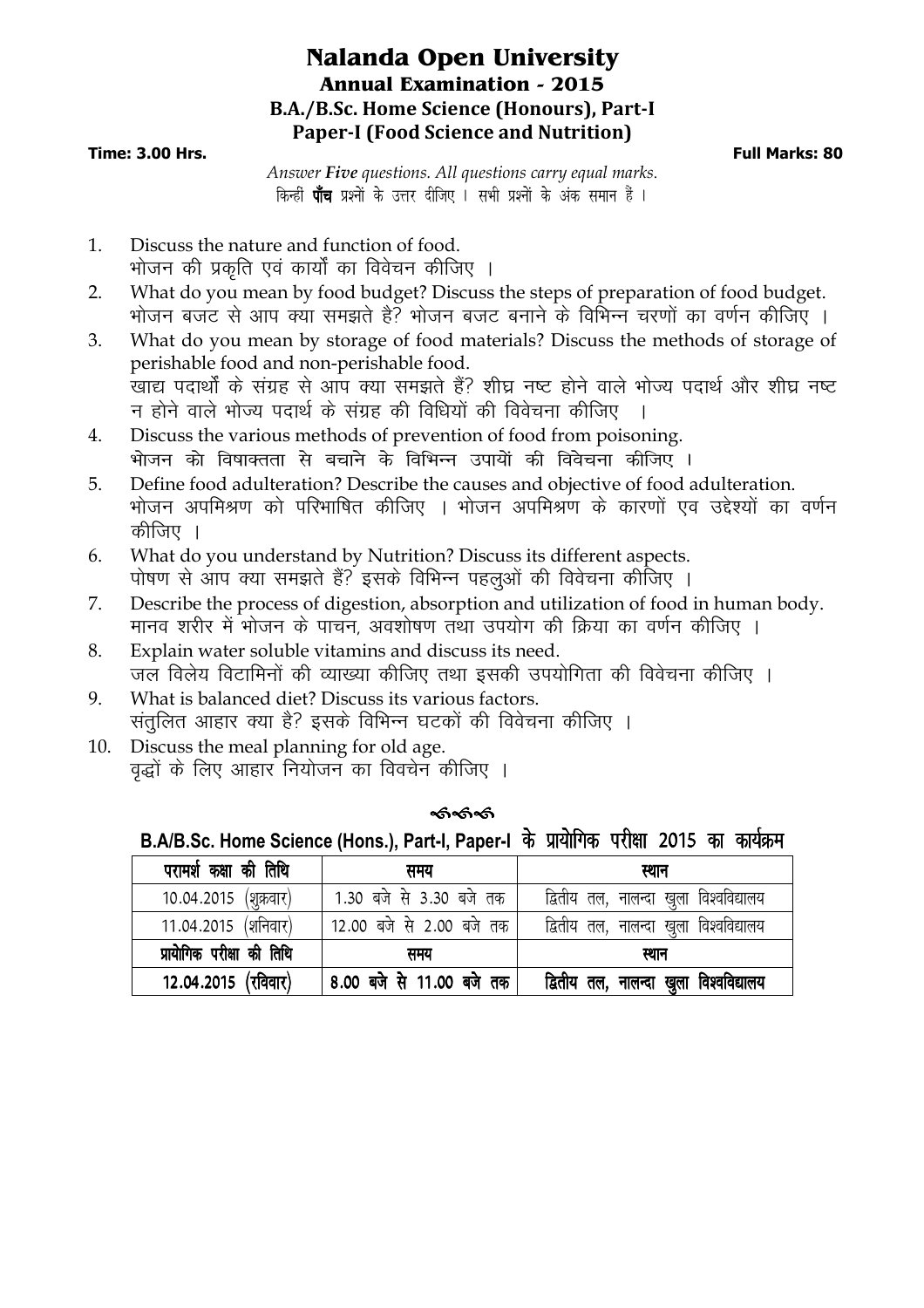## **Nalanda Open University Annual Examination - 2015 B.A./B.Sc. Home Science (Honours), Part-I Paper-I (Food Science and Nutrition)**

#### **Time: 3.00 Hrs. Full Marks: 80**

*Answer Five questions. All questions carry equal marks*. किन्हीं **पाँच** प्रश्नों के उत्तर दीजिए । सभी प्रश्नों के अंक समान हैं ।

- 1. Discuss the nature and function of food. भोजन की प्रकति एवं कार्यों का विवेचन कीजिए ।
- 2. What do you mean by food budget? Discuss the steps of preparation of food budget. भोजन बजट से आप क्या समझते है? भोजन बजट बनाने के विभिन्न चरणों का वर्णन कीजिए ।
- 3. What do you mean by storage of food materials? Discuss the methods of storage of perishable food and non-perishable food.  $\frac{1}{\sqrt{2}}$ खाद्य पदार्थों के संग्रह से आप क्या समझते हैं? शीघ्र नष्ट होने वाले भोज्य पदार्थ और शीघ्र नष्ट न होने वाले भोज्य पदार्थ के संग्रह की विधियों की विवेचना कीजिए ।
- 4. Discuss the various methods of prevention of food from poisoning. .<br>भोजन को विषाक्तता से बचाने के विभिन्न उपायों की विवेचना कीजिए ।
- 5. Define food adulteration? Describe the causes and objective of food adulteration. भोजन अपमिश्रण को परिभाषित कीजिए । भोजन अपमिश्रण के कारणों एव उद्देश्यों का वर्णन कीजिए ।
- 6. What do you understand by Nutrition? Discuss its different aspects. पोषण से आप क्या समझते हैं? इसके विभिन्न पहलुओं की विवेचना कीजिए ।
- 7. Describe the process of digestion, absorption and utilization of food in human body. मानव शरीर में भोजन के पाचन, अवशोषण तथा उपयोग की क्रिया का वर्णन कीजिए ।
- 8. Explain water soluble vitamins and discuss its need. जल विलेय विटामिनों की व्याख्या कीजिए तथा इसकी उपयोगिता की विवेचना कीजिए ।
- 9. What is balanced diet? Discuss its various factors. संतुलित आहार क्या है? इसके विभिन्न घटकों की विवेचना कीजिए ।
- 10. Discuss the meal planning for old age. वृद्धों के लिए आहार नियोजन का विवचेन कीजिए ।

| ଈ୶ୡ |  |
|-----|--|

B.A/B.Sc. Home Science (Hons.), Part-I, Paper-I के प्रायोगिक परीक्षा 2015 का कार्यक्रम

| परामर्श कक्षा की तिथि     | समय                      | स्थान                                  |
|---------------------------|--------------------------|----------------------------------------|
| 10.04.2015 (शुक्रवार)     | 1.30 बजे से 3.30 बजे तक  | द्वितीय तल, नालन्दा खुला विश्वविद्यालय |
| 11.04.2015 (शनिवार)       | 12.00 बजे से 2.00 बजे तक | द्वितीय तल, नालन्दा खुला विश्वविद्यालय |
| प्रायोगिक परीक्षा की तिथि | समय                      | स्थान                                  |
| 12.04.2015 (रविवार)       | 8.00 बजे से 11.00 बजे तक | द्वितीय तल, नालन्दा खुला विश्वविद्यालय |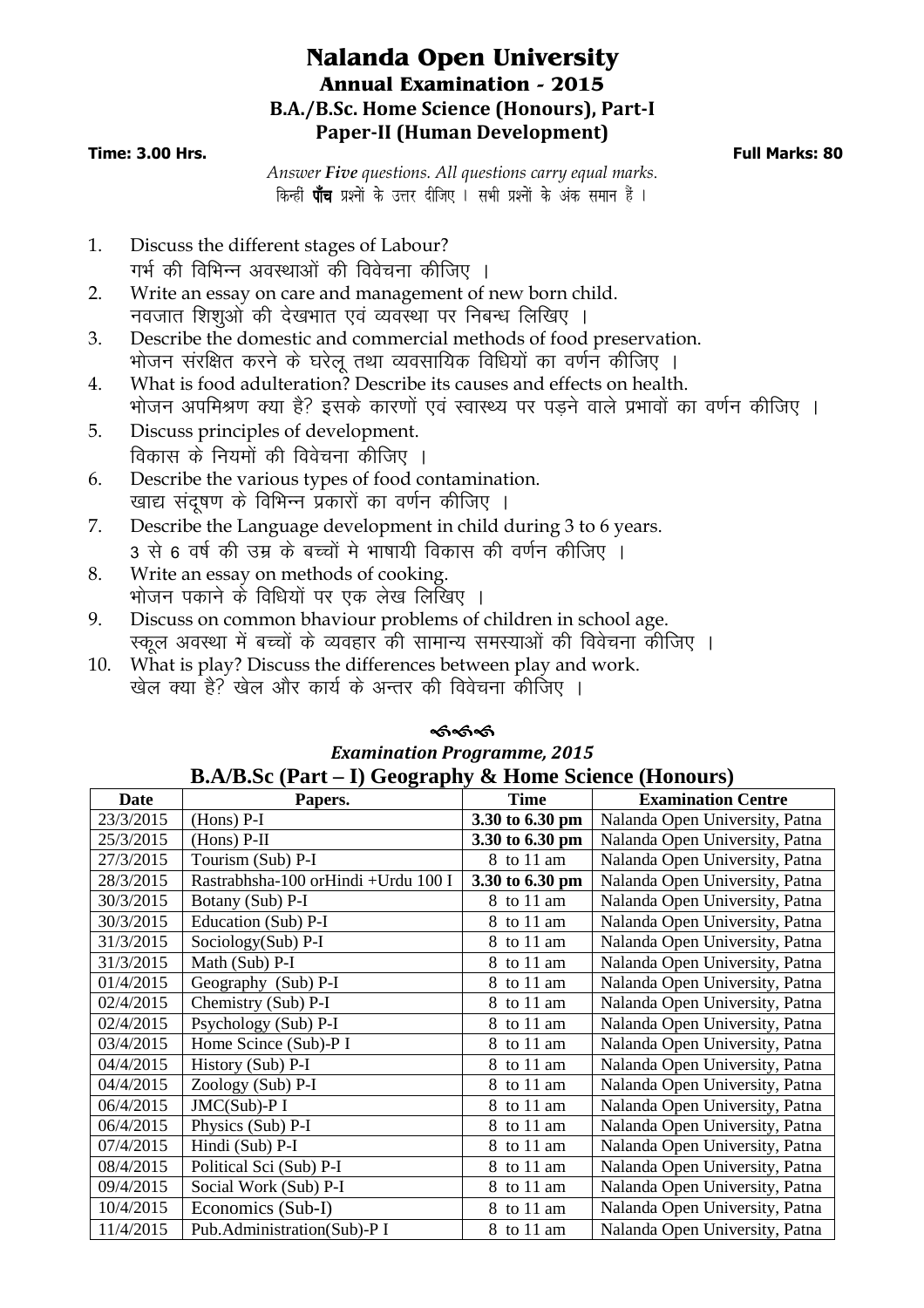## **Nalanda Open University Annual Examination - 2015 B.A./B.Sc. Home Science (Honours), Part-I Paper-II (Human Development)**

#### **Time: 3.00 Hrs. Full Marks: 80**

*Answer Five questions. All questions carry equal marks*. किन्हीं **पाँच** प्रश्नों के उत्तर दीजिए । सभी प्रश्नों के अंक समान हैं ।

- 1. Discuss the different stages of Labour? गर्भ की विभिन्न अवस्थाओं की विवेचना कीजिए ।
- 2. Write an essay on care and management of new born child. नवजात शिशओं की देखभात एवं व्यवस्था पर निबन्ध लिखिए ।
- 3. Describe the domestic and commercial methods of food preservation. भोजन संरक्षित करने के घरेलू तथा व्यवसायिक विधियों का वर्णन कीजिए ।
- 4. What is food adulteration? Describe its causes and effects on health. भोजन अपमिश्रण क्या है? इसके कारणों एवं स्वास्थ्य पर पडने वाले प्रभावों का वर्णन कीजिए ।
- 5. Discuss principles of development. विकास के नियमों की विवेचना कीजिए ।
- 6. Describe the various types of food contamination. खाद्य संदषण के विभिन्न प्रकारों का वर्णन कीजिए ।
- 7. Describe the Language development in child during 3 to 6 years. 3 से 6 वर्ष की उम्र के बच्चों मे भाषायी विकास की वर्णन कीजिए ।
- 8. Write an essay on methods of cooking. भोजन पकाने के विधियों पर एक लेख लिखिए ।
- 9. Discuss on common bhaviour problems of children in school age. स्कल अवस्था में बच्चों के व्यवहार की सामान्य समस्याओं की विवेचना कीजिए ।
- 10. What is play? Discuss the differences between play and work. खेल क्या है? खेल और कार्य के अन्तर की विवेचना कीजिए ।

|             | <b>B.A/B.Sc (Part – I) Geography &amp; Home Science (Honours)</b> |                 |                                |
|-------------|-------------------------------------------------------------------|-----------------|--------------------------------|
| <b>Date</b> | Papers.                                                           | <b>Time</b>     | <b>Examination Centre</b>      |
| 23/3/2015   | $(Hons)$ P-I                                                      | 3.30 to 6.30 pm | Nalanda Open University, Patna |
| 25/3/2015   | $(Hons)$ P-II                                                     | 3.30 to 6.30 pm | Nalanda Open University, Patna |
| 27/3/2015   | Tourism (Sub) P-I                                                 | 8 to 11 am      | Nalanda Open University, Patna |
| 28/3/2015   | Rastrabhsha-100 orHindi +Urdu 100 I                               | 3.30 to 6.30 pm | Nalanda Open University, Patna |
| 30/3/2015   | Botany (Sub) P-I                                                  | 8 to 11 am      | Nalanda Open University, Patna |
| 30/3/2015   | Education (Sub) P-I                                               | 8 to 11 am      | Nalanda Open University, Patna |
| 31/3/2015   | Sociology(Sub) P-I                                                | 8 to 11 am      | Nalanda Open University, Patna |
| 31/3/2015   | Math (Sub) P-I                                                    | 8 to 11 am      | Nalanda Open University, Patna |
| 01/4/2015   | Geography (Sub) P-I                                               | 8 to 11 am      | Nalanda Open University, Patna |
| 02/4/2015   | Chemistry (Sub) P-I                                               | 8 to 11 am      | Nalanda Open University, Patna |
| 02/4/2015   | Psychology (Sub) P-I                                              | 8 to 11 am      | Nalanda Open University, Patna |
| 03/4/2015   | Home Scince (Sub)-P I                                             | 8 to 11 am      | Nalanda Open University, Patna |
| 04/4/2015   | History (Sub) P-I                                                 | 8 to 11 am      | Nalanda Open University, Patna |
| 04/4/2015   | Zoology (Sub) P-I                                                 | 8 to 11 am      | Nalanda Open University, Patna |
| 06/4/2015   | JMC(Sub)-P I                                                      | 8 to 11 am      | Nalanda Open University, Patna |
| 06/4/2015   | Physics (Sub) P-I                                                 | 8 to 11 am      | Nalanda Open University, Patna |
| 07/4/2015   | Hindi (Sub) P-I                                                   | 8 to 11 am      | Nalanda Open University, Patna |
| 08/4/2015   | Political Sci (Sub) P-I                                           | 8 to 11 am      | Nalanda Open University, Patna |
| 09/4/2015   | Social Work (Sub) P-I                                             | 8 to 11 am      | Nalanda Open University, Patna |
| 10/4/2015   | Economics (Sub-I)                                                 | 8 to 11 am      | Nalanda Open University, Patna |
| 11/4/2015   | Pub.Administration(Sub)-P I                                       | 8 to 11 am      | Nalanda Open University, Patna |
|             |                                                                   |                 |                                |

# କ୍ତ<br>କେନ୍ଦ *Examination Programme, 2015*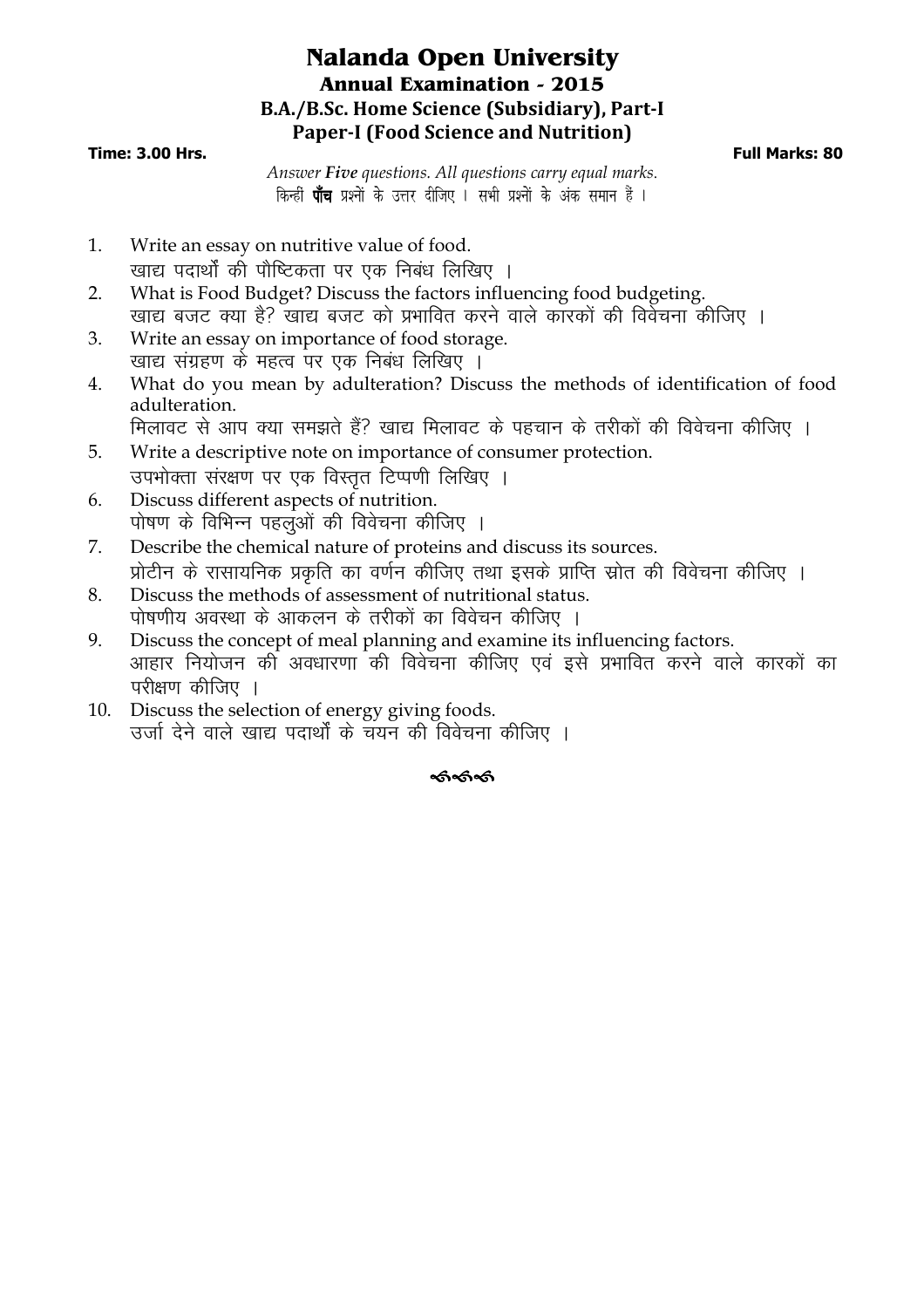## **Nalanda Open University Annual Examination - 2015 B.A./B.Sc. Home Science (Subsidiary), Part-I Paper-I (Food Science and Nutrition)**

#### **Time: 3.00 Hrs. Full Marks: 80**

*Answer Five questions. All questions carry equal marks*. किन्हीं **पाँच** प्रश्नों के उत्तर दीजिए । सभी प्रश्नों के अंक समान हैं ।

- 1. Write an essay on nutritive value of food. खाद्य पदार्थों की पौष्टिकता पर एक निबंध लिखिए ।
- 2. What is Food Budget? Discuss the factors influencing food budgeting. खाद्य बजट क्या है? खाद्य बजट को प्रभावित करने वाले कारकों की विवेचना कीजिए ।
- 3. Write an essay on importance of food storage. खाद्य संग्रहण के महत्व पर एक निबंध लिखिए ।
- 4. What do you mean by adulteration? Discuss the methods of identification of food adulteration.

मिलावट से आप क्या समझते हैं? खाद्य मिलावट के पहचान के तरीकों की विवेचना कीजिए ।

- 5. Write a descriptive note on importance of consumer protection. उपभोक्ता संरक्षण पर एक विस्तत टिप्पणी लिखिए ।
- 6. Discuss different aspects of nutrition. पोषण के विभिन्न पहलुओं की विवेचना कीजिए ।
- 7. Describe the chemical nature of proteins and discuss its sources. प्रोटीन के रासायनिक प्रकति का वर्णन कीजिए तथा इसके प्राप्ति स्रोत की विवेचना कीजिए ।
- 8. Discuss the methods of assessment of nutritional status. पोषणीय अवस्था के आकलन के तरीकों का विवेचन कीजिए ।
- 9. Discuss the concept of meal planning and examine its influencing factors. आहार नियोजन की अवधारणा की विवेचना कीजिए एवं इसे प्रभावित करने वाले कारकों का परीक्षण कीजिए ।
- 10. Discuss the selection of energy giving foods. उर्जा देने वाले खाद्य पदार्थों के चयन की विवेचना कीजिए ।

## ---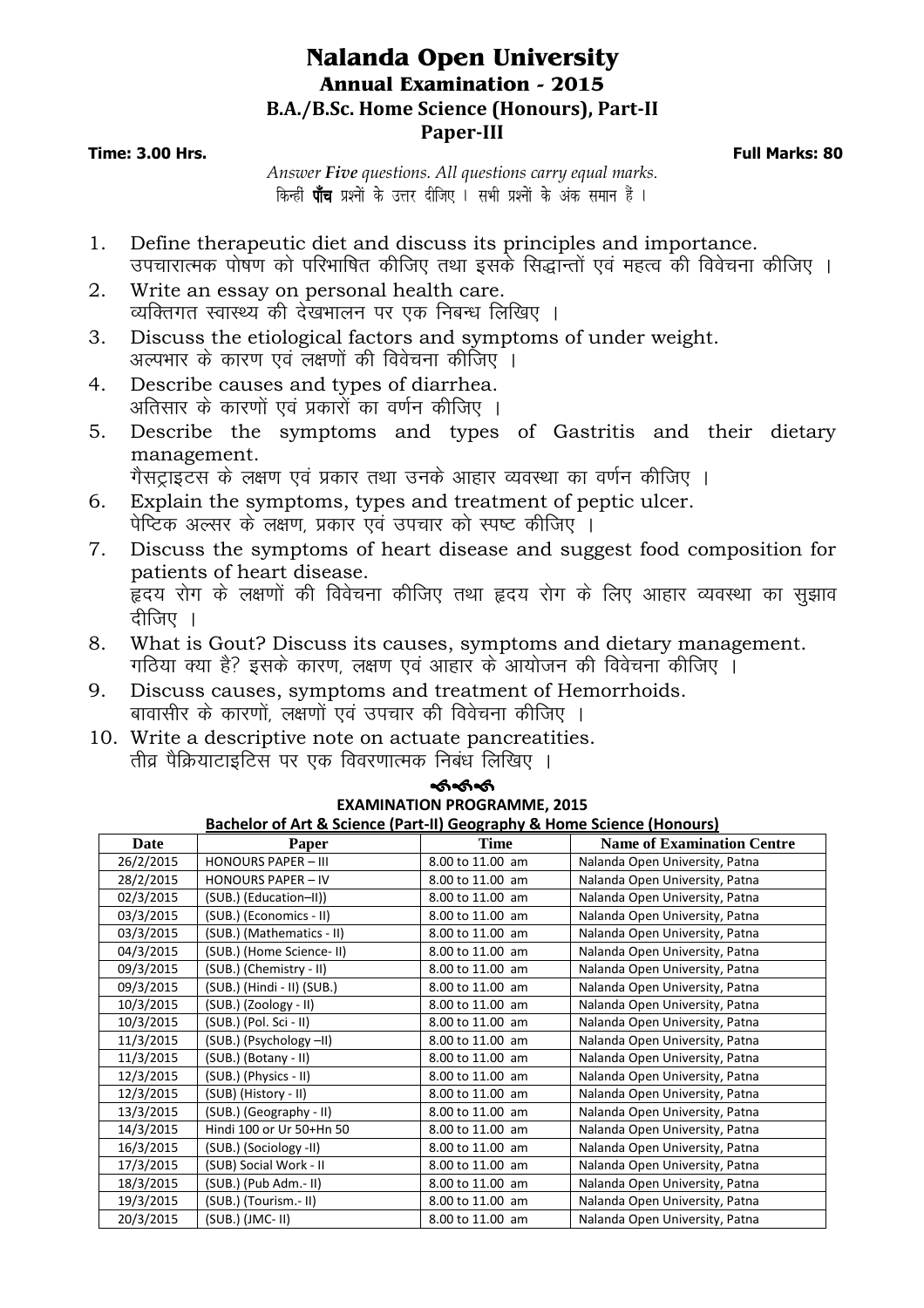## **Nalanda Open University Annual Examination - 2015 B.A./B.Sc. Home Science (Honours), Part-II Paper-III**

**Time: 3.00 Hrs. Full Marks: 80**

*Answer Five questions. All questions carry equal marks*. किन्हीं **पाँच** प्रश्नों के उत्तर दीजिए । सभी प्रश्नों के अंक समान हैं ।

- 1. Define therapeutic diet and discuss its principles and importance. उपचारात्मक पोषण को परिभाषित कीजिए तथा इसके सिद्धान्तों एवं महत्व की विवेचना कीजिए ।
- 2. Write an essay on personal health care. व्यक्तिगत स्वास्थ्य की देखभालन पर एक निबन्ध लिखिए ।
- 3. Discuss the etiological factors and symptoms of under weight. अल्पभार के कारण एवं लक्षणों की विवेचना कीजिए ।
- 4. Describe causes and types of diarrhea. अतिसार के कारणों एवं प्रकारों का वर्णन कीजिए ।
- 5. Describe the symptoms and types of Gastritis and their dietary management.
	- गैसट्राइटस के लक्षण एवं प्रकार तथा उनके आहार व्यवस्था का वर्णन कीजिए ।
- 6. Explain the symptoms, types and treatment of peptic ulcer. पेप्टिक अल्सर के लक्षण, प्रकार एवं उपचार को स्पष्ट कीजिए ।
- 7. Discuss the symptoms of heart disease and suggest food composition for patients of heart disease. .<br>हृदय रोग के लक्षणों की विवेचना कीजिए तथा हृदय रोग के लिए आहार व्यवस्था का सझाव दीजिए $\,$ ।
- 8. What is Gout? Discuss its causes, symptoms and dietary management. <u>गठिया क्या है? इसके कारण, लक्षण एवं आहार के आयोजन की विवेचना कीजिए ।</u>
- 9. Discuss causes, symptoms and treatment of Hemorrhoids. बावासीर के कारणों, लक्षणों एवं उपचार की विवेचना कीजिए ।
- 10. Write a descriptive note on actuate pancreatities. तीव्र पैक्रियाटाइटिस पर एक विवरणात्मक निबंध लिखिए । ---

| <b>EXAMINATION PROGRAMME, 2015</b> |                                                                        |                  |                                |  |  |  |  |  |
|------------------------------------|------------------------------------------------------------------------|------------------|--------------------------------|--|--|--|--|--|
|                                    | Bachelor of Art & Science (Part-II) Geography & Home Science (Honours) |                  |                                |  |  |  |  |  |
| Date                               | Time<br><b>Name of Examination Centre</b><br>Paper                     |                  |                                |  |  |  |  |  |
| 26/2/2015                          | <b>HONOURS PAPER - III</b>                                             | 8.00 to 11.00 am | Nalanda Open University, Patna |  |  |  |  |  |
| 28/2/2015                          | <b>HONOURS PAPER - IV</b>                                              | 8.00 to 11.00 am | Nalanda Open University, Patna |  |  |  |  |  |
| 02/3/2015                          | (SUB.) (Education-II))                                                 | 8.00 to 11.00 am | Nalanda Open University, Patna |  |  |  |  |  |
| 03/3/2015                          | (SUB.) (Economics - II)                                                | 8.00 to 11.00 am | Nalanda Open University, Patna |  |  |  |  |  |
| 03/3/2015                          | (SUB.) (Mathematics - II)                                              | 8.00 to 11.00 am | Nalanda Open University, Patna |  |  |  |  |  |
| 04/3/2015                          | (SUB.) (Home Science-II)                                               | 8.00 to 11.00 am | Nalanda Open University, Patna |  |  |  |  |  |
| 09/3/2015                          | (SUB.) (Chemistry - II)                                                | 8.00 to 11.00 am | Nalanda Open University, Patna |  |  |  |  |  |
| 09/3/2015                          | (SUB.) (Hindi - II) (SUB.)                                             | 8.00 to 11.00 am | Nalanda Open University, Patna |  |  |  |  |  |
| 10/3/2015                          | (SUB.) (Zoology - II)                                                  | 8.00 to 11.00 am | Nalanda Open University, Patna |  |  |  |  |  |
| 10/3/2015                          | (SUB.) (Pol. Sci - II)                                                 | 8.00 to 11.00 am | Nalanda Open University, Patna |  |  |  |  |  |
| 11/3/2015                          | (SUB.) (Psychology -II)                                                | 8.00 to 11.00 am | Nalanda Open University, Patna |  |  |  |  |  |
| 11/3/2015                          | (SUB.) (Botany - II)                                                   | 8.00 to 11.00 am | Nalanda Open University, Patna |  |  |  |  |  |
| 12/3/2015                          | (SUB.) (Physics - II)                                                  | 8.00 to 11.00 am | Nalanda Open University, Patna |  |  |  |  |  |
| 12/3/2015                          | (SUB) (History - II)                                                   | 8.00 to 11.00 am | Nalanda Open University, Patna |  |  |  |  |  |
| 13/3/2015                          | (SUB.) (Geography - II)                                                | 8.00 to 11.00 am | Nalanda Open University, Patna |  |  |  |  |  |
| 14/3/2015                          | Hindi 100 or Ur 50+Hn 50                                               | 8.00 to 11.00 am | Nalanda Open University, Patna |  |  |  |  |  |
| 16/3/2015                          | (SUB.) (Sociology -II)                                                 | 8.00 to 11.00 am | Nalanda Open University, Patna |  |  |  |  |  |
| 17/3/2015                          | (SUB) Social Work - II                                                 | 8.00 to 11.00 am | Nalanda Open University, Patna |  |  |  |  |  |
| 18/3/2015                          | (SUB.) (Pub Adm.- II)                                                  | 8.00 to 11.00 am | Nalanda Open University, Patna |  |  |  |  |  |
| 19/3/2015                          | (SUB.) (Tourism.- II)                                                  | 8.00 to 11.00 am | Nalanda Open University, Patna |  |  |  |  |  |
| 20/3/2015                          | $(SUB.)$ (JMC-II)                                                      | 8.00 to 11.00 am | Nalanda Open University, Patna |  |  |  |  |  |
|                                    |                                                                        |                  |                                |  |  |  |  |  |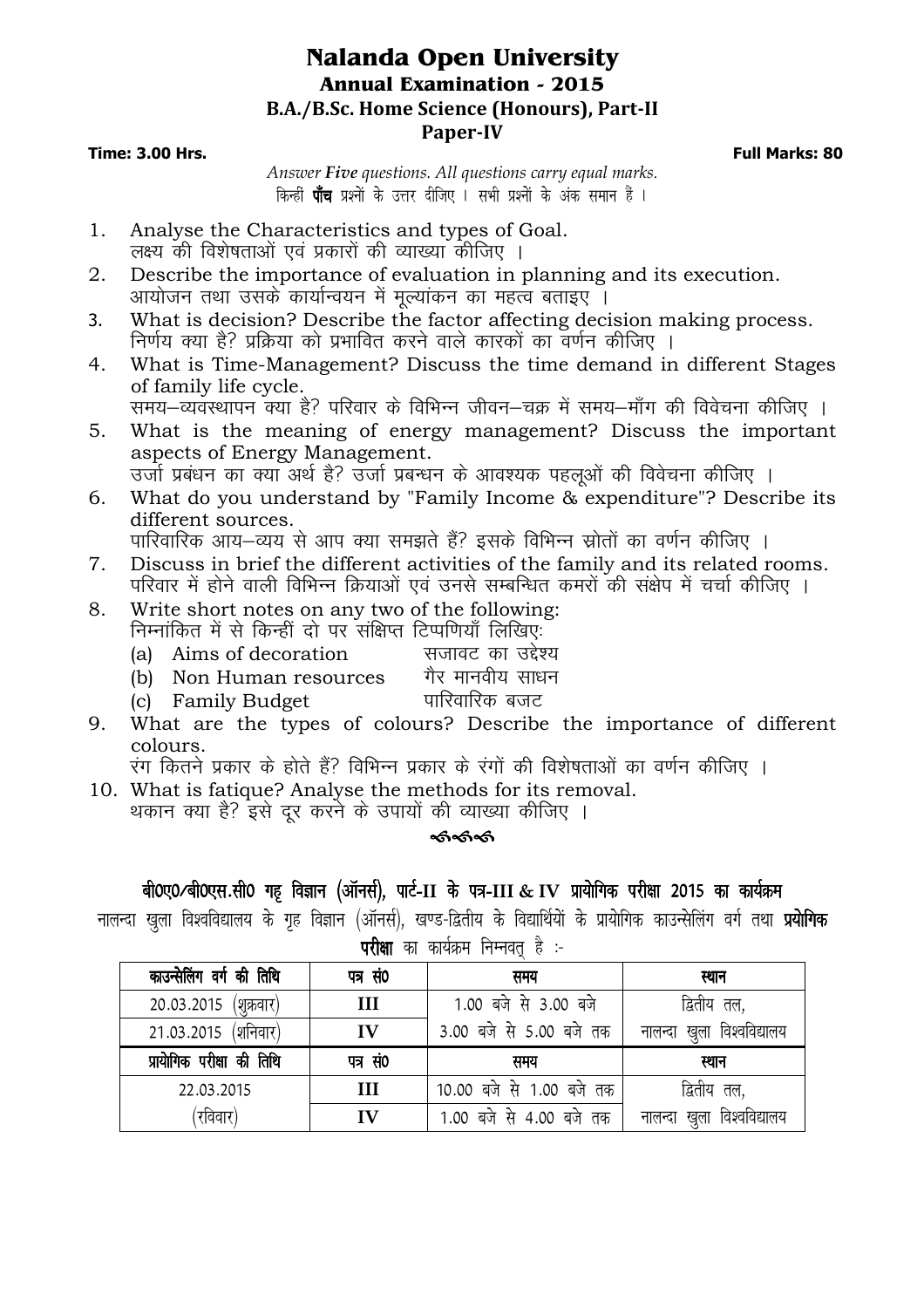## **Nalanda Open University Annual Examination - 2015 B.A./B.Sc. Home Science (Honours), Part-II Paper-IV**

#### **Time: 3.00 Hrs. Full Marks: 80**

*Answer Five questions. All questions carry equal marks*. किन्हीं **पाँच** प्रश्नों के उत्तर दीजिए । सभी प्रश्नों के अंक समान हैं ।

- 1. Analyse the Characteristics and types of Goal. लक्ष्य की विशेषताओं एवं प्रकारों की व्याख्या कीजिए ।
- 2. Describe the importance of evaluation in planning and its execution. आयोजन तथा उसके कार्यान्वयन में मूल्यांकन का महत्व बताइए ।
- 3. What is decision? Describe the factor affecting decision making process. <u>निर्णय क्या है? प्रक्रिया को प्रभावित करने वाले कारकों का वर्णन कीजिए ।</u>
- 4. What is Time-Management? Discuss the time demand in different Stages of family life cycle.
	- समय—व्यवस्थापन क्या है? परिवार के विभिन्न जीवन—चक्र में समय—माँग की विवेचना कीजिए ।
- 5. What is the meaning of energy management? Discuss the important aspects of Energy Management. उर्जा प्रबंधन का क्याँ अर्थ है? उर्जा प्रबन्धन के आवश्यक पहलओं की विवेचना कीजिए ।
- 6. What do you understand by "Family Income & expenditure"? Describe its different sources.

पारिवारिक आय—व्यय से आप क्या समझते हैं? इसके विभिन्न स्रोतों का वर्णन कीजिए ।

- 7. Discuss in brief the different activities of the family and its related rooms. परिवार में होने वाली विभिन्न क्रियाओं एवं उनसे सम्बन्धित कमरों की संक्षेप में चर्चा कीजिए ।
- 8. Write short notes on any two of the following: निम्नांकित में से किन्हीं दो पर संक्षिप्त टिप्पणियाँ लिखिएः<br>(a) Aims of decoration सजावट का उद्देश्य
	- (a) Aims of decoration सजावट का उद्देश्य<br>(b) Non Human resources गैर मानवीय साधन
	- (b) Non Human resources xSj ekuoh; lk/ku
	- (c) Family Budget
- 9. What are the types of colours? Describe the importance of different colours.

रंग कितने प्रकार के होते हैं? विभिन्न प्रकार के रंगों की विशेषताओं का वर्णन कीजिए ।

10. What is fatique? Analyse the methods for its removal. थकान क्या है? इसे दर करने के उपायों की व्याख्या कीजिए ।

## କ୍ତ<br>କେନ୍ଦ

#### aी0ए0/बी0एस.सी0 गह विज्ञान (ऑनर्स), पार्ट-II के पत्र-III & IV प्रायोगिक परीक्षा 2015 का कार्यक्रम

नालन्दा खला विश्वविद्यालय के गृह विज्ञान (ऑनर्स), खण्ड-द्वितीय के विद्यार्थियों के प्रायोगिक काउन्सेलिंग वर्ग तथा **प्रयोगिक** 

| काउन्सेलिंग वर्ग की तिथि  | पत्र सं0      | समय                      | स्थान                         |
|---------------------------|---------------|--------------------------|-------------------------------|
| 20.03.2015 (शुक्रवार)     | III           | 1.00 बजे से 3.00 बजे     | द्वितीय तल,                   |
| 21.03.2015 (शनिवार)       | $\mathbf{IV}$ | 3.00 बजे से 5.00 बजे तक  | खुला विश्वविद्यालय<br>नालन्दा |
| प्रायोगिक परीक्षा की तिथि | पत्र सं0      | समय                      | स्थान                         |
|                           |               |                          |                               |
| 22.03.2015                | Ш             | 10.00 बजे से 1.00 बजे तक | द्वितीय तल,                   |

परीक्षा का कार्यक्रम निम्नवत है :-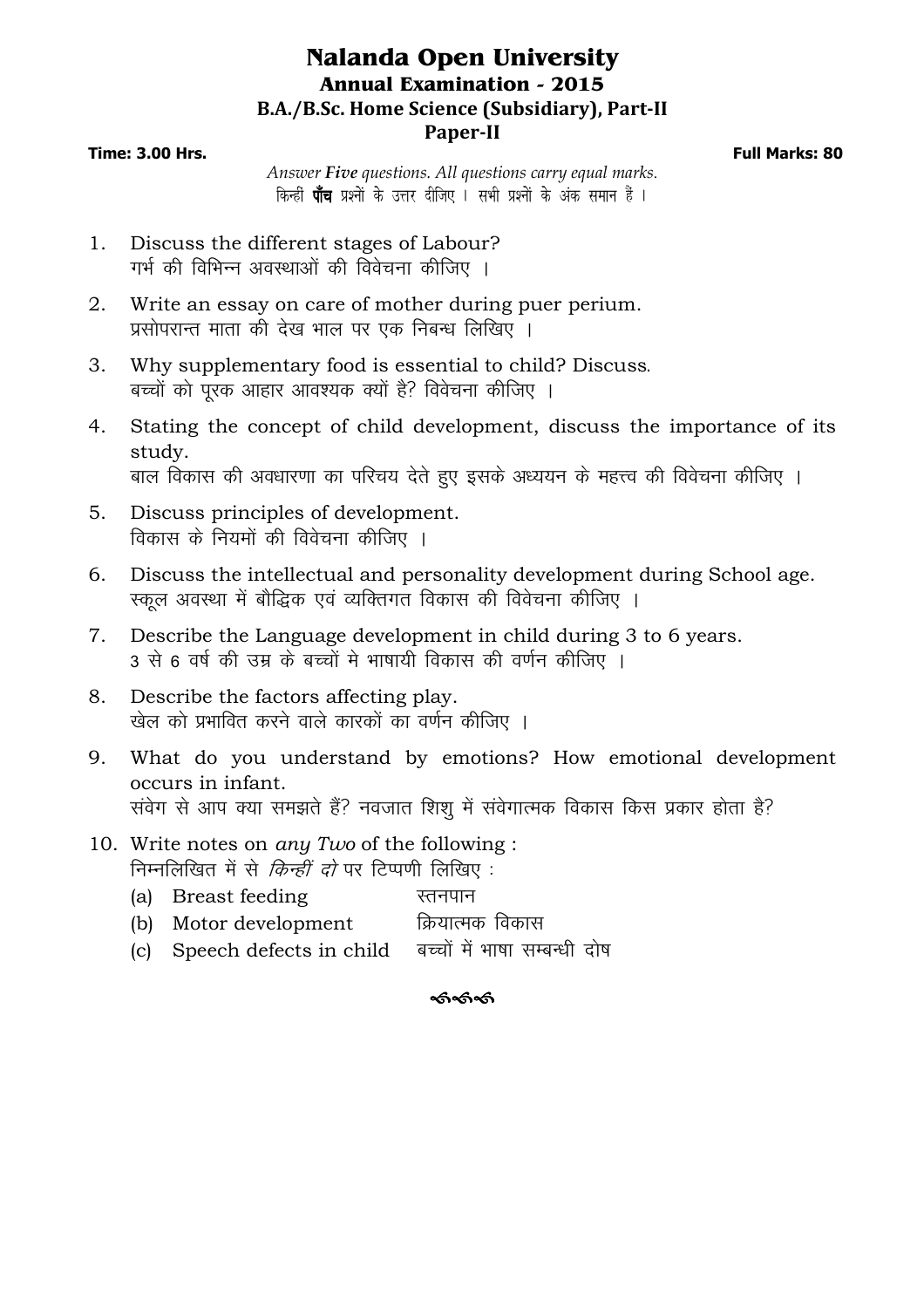## **Nalanda Open University Annual Examination - 2015 B.A./B.Sc. Home Science (Subsidiary), Part-II Paper-II**

#### **Time: 3.00 Hrs. Full Marks: 80**

*Answer Five questions. All questions carry equal marks*. किन्हीं **पाँच** प्रश्नों के उत्तर दीजिए । सभी प्रश्नों के अंक समान हैं ।

- 1. Discuss the different stages of Labour? गर्भ की विभिन्न अवस्थाओं की विवेचना कीजिए ।
- 2. Write an essay on care of mother during puer perium. प्रसोपरान्त माता की देख भाल पर एक निबन्ध लिखिए ।
- 3. Why supplementary food is essential to child? Discuss. बच्चों को पुरक आहार आवश्यक क्यों है? विवेचना कीजिए ।
- 4. Stating the concept of child development, discuss the importance of its study. बाल विकास की अवधारणा का परिचय देते हुए इसके अध्ययन के महत्त्व की विवेचना कीजिए ।
- 5. Discuss principles of development. विकास के नियमों की विवेचना कीजिए ।
- 6. Discuss the intellectual and personality development during School age. रकूल अवस्था में बौद्धिक एवं व्यक्तिगत विकास की विवेचना कीजिए ।
- 7. Describe the Language development in child during 3 to 6 years. 3 से 6 वर्ष की उम्र के बच्चों मे भाषायी विकास की वर्णन कीजिए ।
- 8. Describe the factors affecting play. खेल को प्रभावित करने वाले कारकों का वर्णन कीजिए ।
- 9. What do you understand by emotions? How emotional development occurs in infant. संवेग से आप क्या समझते हैं? नवजात शिशु में संवेगात्मक विकास किस प्रकार होता है?
- 10. Write notes on *any Two* of the following : निम्नलिखित में से *किन्हीं दो* पर टिप्पणी लिखिए :
	- (a) Breast feeding **Example 18** स्तनपान
	- (b) Motor development क्रियात्मक विकास
	- (c) Speech defects in child बच्चों में भाषा सम्बन्धी दोष

#### ---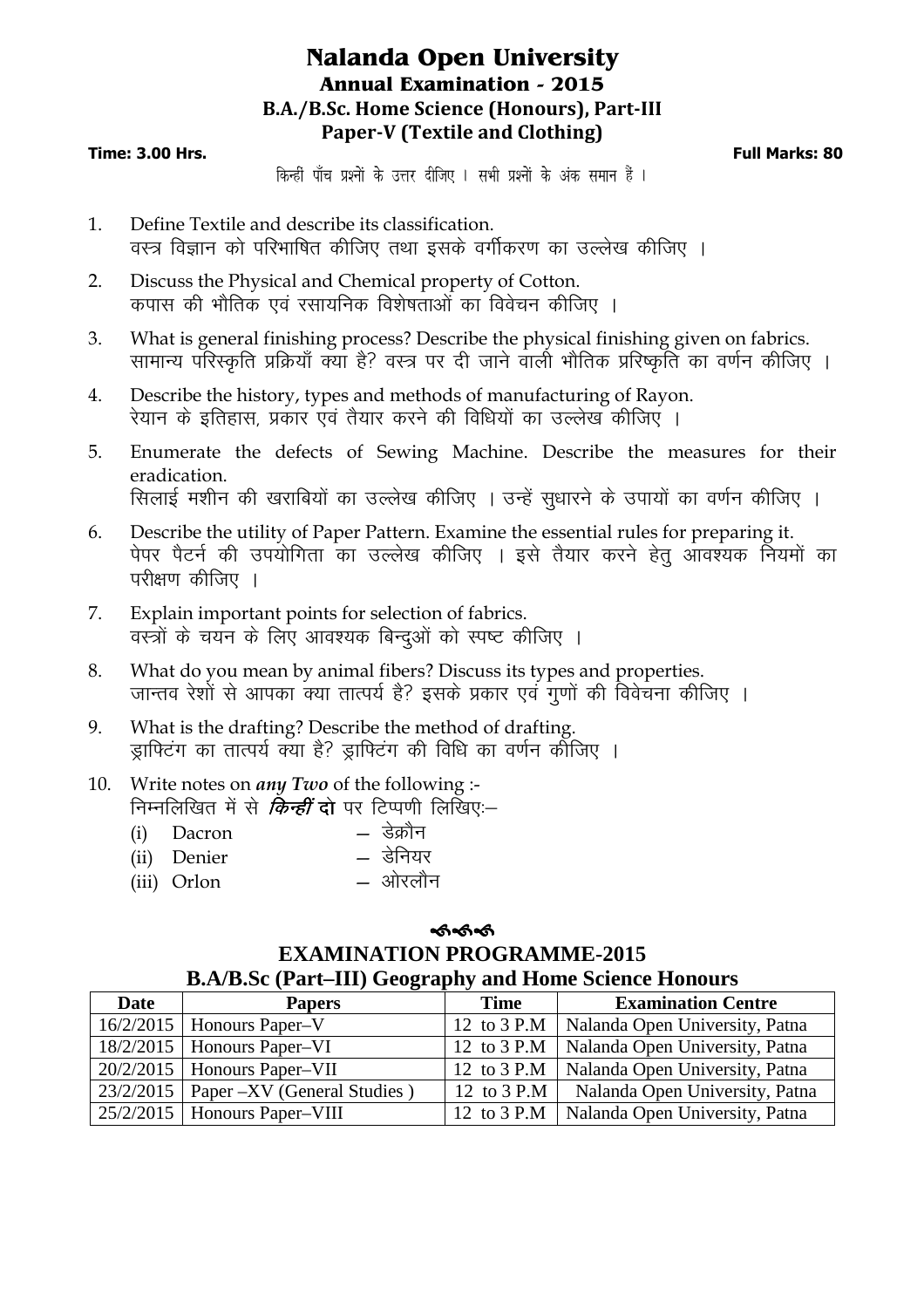## **Nalanda Open University Annual Examination - 2015 B.A./B.Sc. Home Science (Honours), Part-III Paper-V (Textile and Clothing)**

#### **Time: 3.00 Hrs. Full Marks: 80**

किन्हीं पाँच प्रश्नों के उत्तर दीजिए । सभी प्रश्नों के अंक समान हैं ।

- 1. Define Textile and describe its classification. वस्त्र विज्ञान को परिभाषित कीजिए तथा इसके वर्गीकरण का उल्लेख कीजिए ।
- 2. Discuss the Physical and Chemical property of Cotton. कपास की भौतिक एवं रसायनिक विशेषताओं का विवेचन कीजिए ।
- 3. What is general finishing process? Describe the physical finishing given on fabrics. सामान्य परिस्कृति प्रक्रियाँ क्या है? वस्त्र पर दी जाने वाली भौतिक प्ररिष्कृति का वर्णन कीजिए ।
- 4. Describe the history, types and methods of manufacturing of Rayon. रेयान के इतिहास, प्रकार एवं तैयार करने की विधियों का उल्लेख कीजिए ।
- 5. Enumerate the defects of Sewing Machine. Describe the measures for their eradication. सिलाई मशीन की खराबियों का उल्लेख कीजिए । उन्हें सूधारने के उपायों का वर्णन कीजिए ।
- 6. Describe the utility of Paper Pattern. Examine the essential rules for preparing it. पेपर पैटर्न की उपयोगिता का उल्लेख कीजिए । इसे तैयार करने हेतु आवश्यक नियमों का परीक्षण कीजिए ।
- 7. Explain important points for selection of fabrics. वस्त्रों के चयन के लिए आवश्यक बिन्दओं को स्पष्ट कीजिए ।
- 8. What do you mean by animal fibers? Discuss its types and properties. जान्तव रेशों से आपका क्या तात्पर्य है? इसके प्रकार एवं गूणों की विवेचना कीजिए ।
- 9. What is the drafting? Describe the method of drafting. झाफिटंग का तात्पर्य क्या है? झाफिटंग की विधि का वर्णन कोजिए ।

#### 10. Write notes on *any Two* of the following :- निम्नलिखित में से *किन्हीं* दो पर टिप्पणी लिखिए:-

| (i) Dacron    | — डेक्रौन |
|---------------|-----------|
| (ii) Denier   | — डेनियर  |
| $(iii)$ Orlan | $=$ ओरलौन |

#### $\lim_{n \to \infty}$  Orlon — अरिलीन

#### କ୍ତ<br>କେନ୍ଦ **EXAMINATION PROGRAMME-2015 B.A/B.Sc (Part–III) Geography and Home Science Honours**

| <b>Date</b> | <b>Papers</b>                           | <b>Time</b> | <b>Examination Centre</b>      |
|-------------|-----------------------------------------|-------------|--------------------------------|
|             | $16/2/2015$   Honours Paper-V           | 12 to 3 P.M | Nalanda Open University, Patna |
|             | $18/2/2015$   Honours Paper-VI          | 12 to 3 P.M | Nalanda Open University, Patna |
|             | $20/2/2015$   Honours Paper-VII         | 12 to 3 P.M | Nalanda Open University, Patna |
|             | $23/2/2015$ Paper –XV (General Studies) | 12 to 3 P.M | Nalanda Open University, Patna |
|             | $25/2/2015$   Honours Paper-VIII        | 12 to 3 P.M | Nalanda Open University, Patna |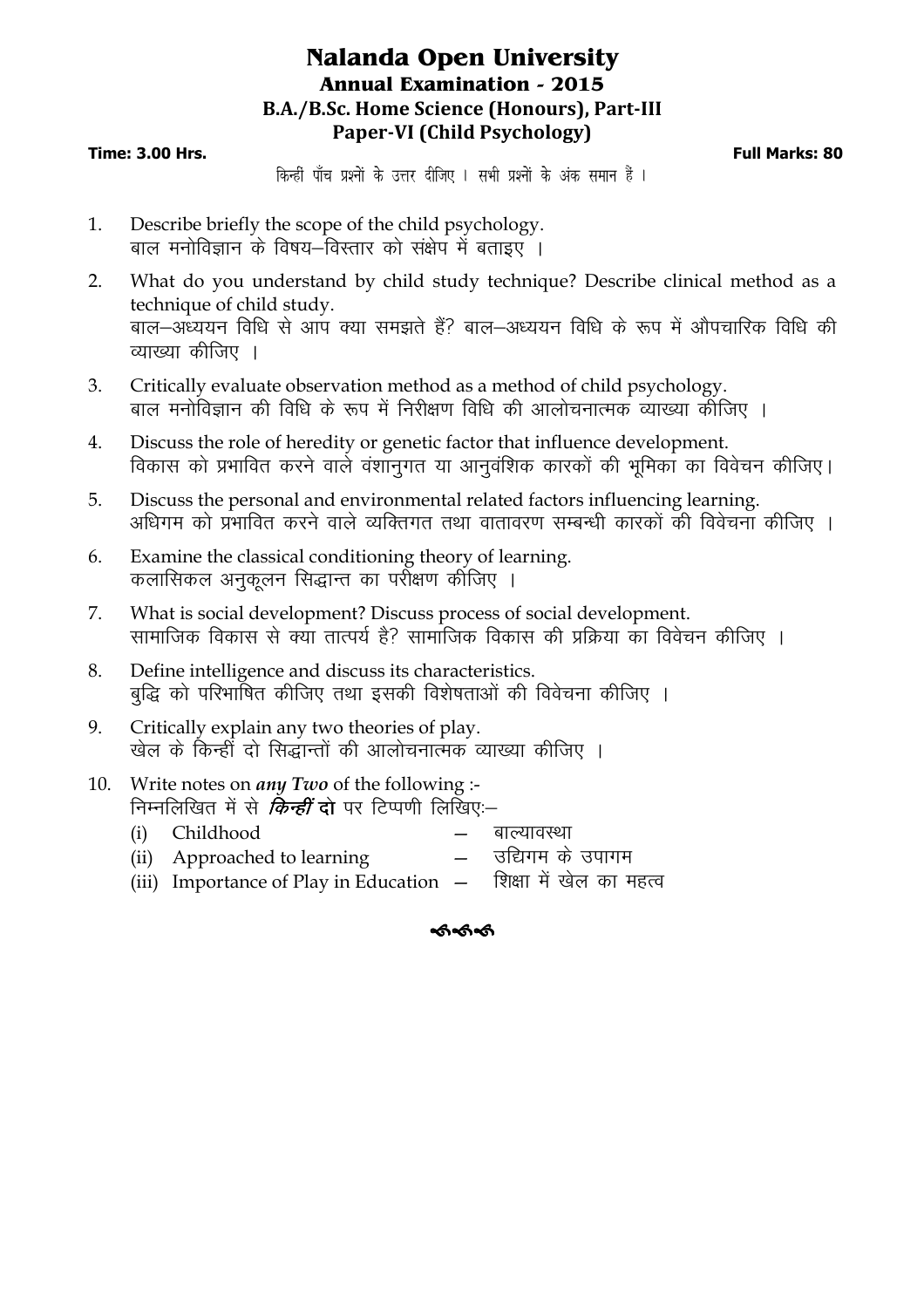## **Nalanda Open University Annual Examination - 2015 B.A./B.Sc. Home Science (Honours), Part-III Paper-VI (Child Psychology)**

#### **Time: 3.00 Hrs. Full Marks: 80**

किन्हीं पाँच प्रश्नों के उत्तर दीजिए । सभी प्रश्नों के अंक समान हैं ।

- 1. Describe briefly the scope of the child psychology. बाल मनोविज्ञान के विषय–विस्तार को संक्षेप में बताइए ।
- 2. What do you understand by child study technique? Describe clinical method as a technique of child study. बाल-अध्ययन विधि से आप क्या समझते हैं? बाल-अध्ययन विधि के रूप में औपचारिक विधि की व्याख्या कीजिए $\pm$
- 3. Critically evaluate observation method as a method of child psychology. बाल मनोविज्ञान की विधि के रूप में निरीक्षण विधि की आलोचनात्मक व्याख्या कोजिए ।
- 4. Discuss the role of heredity or genetic factor that influence development. विकास को प्रभावित करने वाले वंशानुगत या आनुवंशिक कारकों की भूमिका का विवेचन कीजिए।
- 5. Discuss the personal and environmental related factors influencing learning. अधिगम को प्रभावित करने वाले व्यक्तिगत तथा वातावरण सम्बन्धी कारकों की विवेचना कीजिए ।
- 6. Examine the classical conditioning theory of learning. कलासिकल अनुकूलन सिद्धान्त का पर्राेक्षण कोजिए ।
- 7. What is social development? Discuss process of social development. सामाजिक विकास से क्या तात्पर्य है? सामाजिक विकास की प्रक्रिया का विवेचन कीजिए ।
- 8. Define intelligence and discuss its characteristics. बुद्धि को परिभाषित कीजिए तथा इसकी विशेषताओं की विवेचना कीजिए ।
- 9. Critically explain any two theories of play. खेल के किन्हीं दो सिद्धान्तों की आलोचनात्मक व्याख्या कीजिए ।
- 10. Write notes on *any Two* of the following :- निम्नलिखित में से *किन्हीं* दो पर टिप्पणी लिखिए:-
	- (i) Childhood बाल्यावस्था  $(ii)$  Approached to learning  $-$  उद्यिगम के उपागम
	- $(iii)$  Importance of Play in Education  $-$  शिक्षा में खेल का महत्व

କ୍ତ<br>କେନ୍ଦ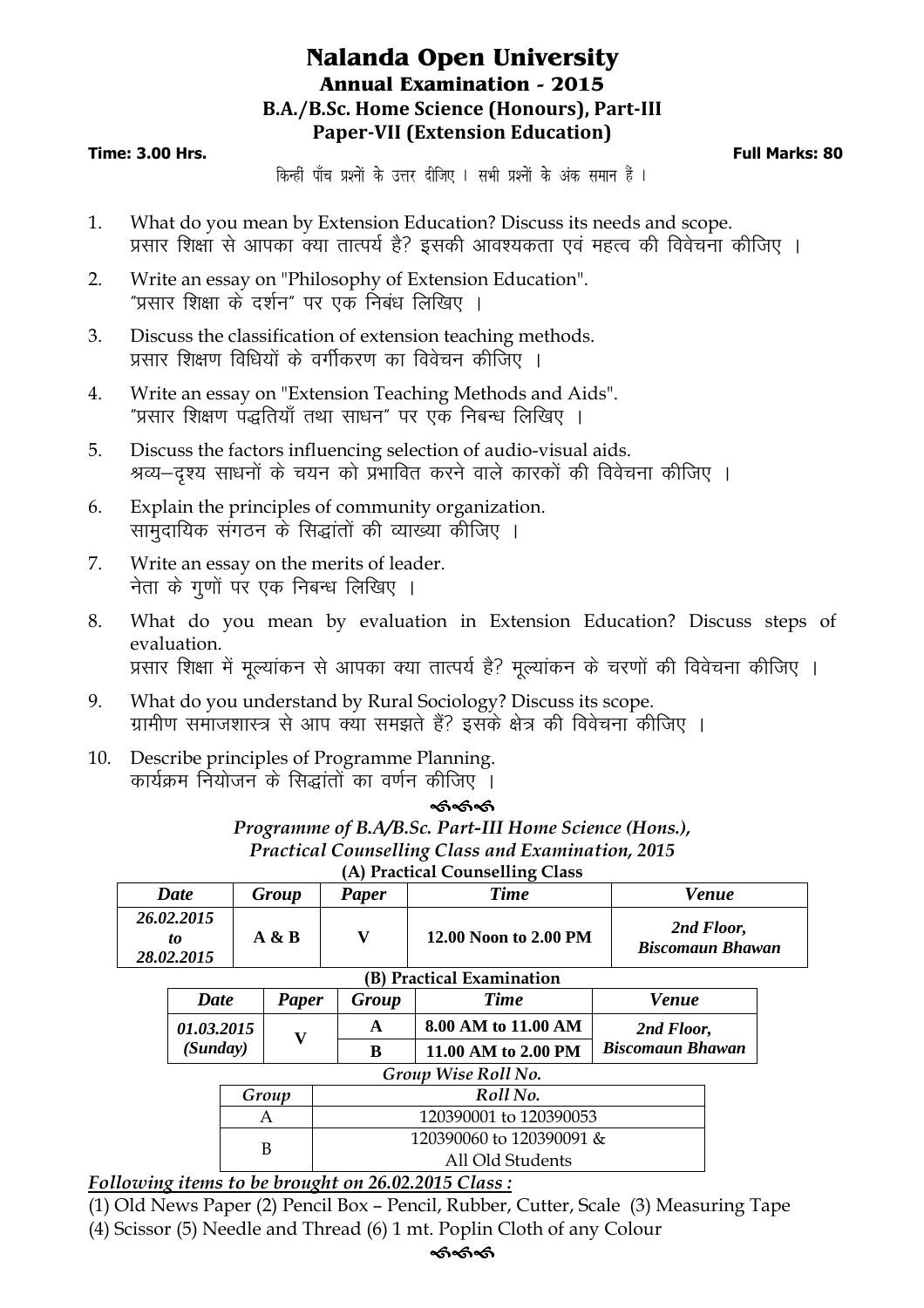## **Nalanda Open University Annual Examination - 2015 B.A./B.Sc. Home Science (Honours), Part-III Paper-VII (Extension Education)**

#### **Time: 3.00 Hrs. Full Marks: 80**

किन्हीं पाँच प्रश्नों के उत्तर दीजिए । सभी प्रश्नों के अंक समान हैं ।

- 1. What do you mean by Extension Education? Discuss its needs and scope. प्रसार शिक्षा से आपका क्या तात्पर्य है? इसकी आवश्यकता एवं महत्व की विवेचना कीजिए ।
- 2. Write an essay on "Philosophy of Extension Education". "प्रसार शिक्षा के दर्शन" पर एक निबंध लिखिए ।
- 3. Discuss the classification of extension teaching methods. प्रसार शिक्षण विधियों के वर्गीकरण का विवेचन कीजिए ।
- 4. Write an essay on "Extension Teaching Methods and Aids". "प्रसार शिक्षण पद्धतियाँ तथा साधन" पर एक निबन्ध लिखिए ।
- 5. Discuss the factors influencing selection of audio-visual aids. श्रव्य–दृश्य साधनों के चयन को प्रभावित करने वाले कारकों की विवेचना कीजिए ।
- 6. Explain the principles of community organization. सामदायिक संगठन के सिद्धांतों की व्याख्या कीजिए ।
- 7. Write an essay on the merits of leader. नेता के गुणों पर एक निबन्ध लिखिए ।
- 8. What do you mean by evaluation in Extension Education? Discuss steps of evaluation. प्रसार शिक्षा में मूल्यांकन से आपका क्या तात्पर्य है? मूल्यांकन के चरणों की विवेचना कीजिए ।
- 9. What do you understand by Rural Sociology? Discuss its scope. ग्रामीण समाजशास्त्र से आप क्या समझते हैं? इसके क्षेत्र की विवेचना कीजिए ।
- 10. Describe principles of Programme Planning. कार्यक्रम नियोजन के सिद्धांतों का वर्णन कीजिए ।

#### ---

*Programme of B.A/B.Sc. Part-III Home Science (Hons.), Practical Counselling Class and Examination, 2015*  **(A) Practical Counselling Class** 

| <b>Date</b>                    | Group | <b>Paper</b> | <b>Time</b>           | Venue                                 |  |  |
|--------------------------------|-------|--------------|-----------------------|---------------------------------------|--|--|
| 26.02.2015<br>to<br>28.02.2015 | A & B |              | 12.00 Noon to 2.00 PM | 2nd Floor,<br><b>Biscomaun Bhawan</b> |  |  |
| (B) Practical Examination      |       |              |                       |                                       |  |  |

| <b>Date</b>         | Paper | Group | <b>Time</b>         | <b>Venue</b>            |  |  |
|---------------------|-------|-------|---------------------|-------------------------|--|--|
| <i>01.03.2015</i>   |       |       | 8.00 AM to 11.00 AM | 2nd Floor,              |  |  |
| (Sunday)            |       | в     | 11.00 AM to 2.00 PM | <b>Biscomaun Bhawan</b> |  |  |
| Group Wise Roll No. |       |       |                     |                         |  |  |

| Group | Roll No.                 |
|-------|--------------------------|
|       | 120390001 to 120390053   |
|       | 120390060 to 120390091 & |
|       | All Old Students         |
|       |                          |

*Following items to be brought on 26.02.2015 Class :*

(1) Old News Paper (2) Pencil Box – Pencil, Rubber, Cutter, Scale (3) Measuring Tape (4) Scissor (5) Needle and Thread (6) 1 mt. Poplin Cloth of any Colour

## ক<br>- কৰ্তুক